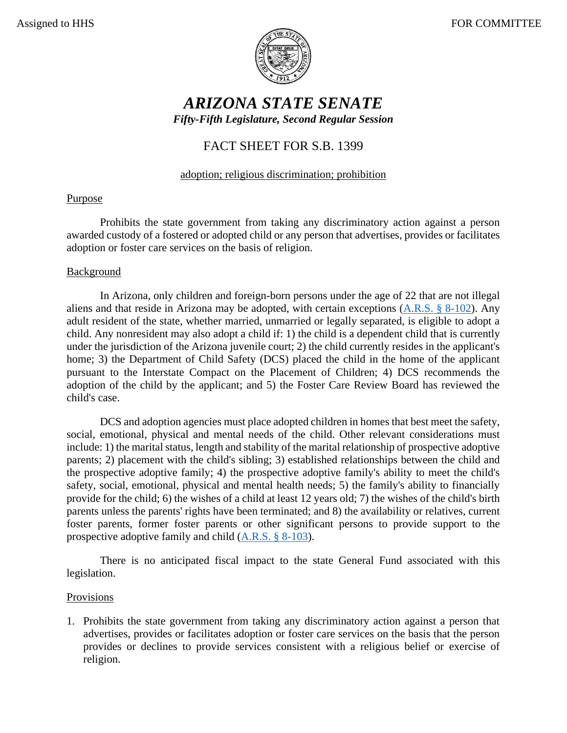

# *ARIZONA STATE SENATE Fifty-Fifth Legislature, Second Regular Session*

# FACT SHEET FOR S.B. 1399

## adoption; religious discrimination; prohibition

### Purpose

Prohibits the state government from taking any discriminatory action against a person awarded custody of a fostered or adopted child or any person that advertises, provides or facilitates adoption or foster care services on the basis of religion.

#### **Background**

In Arizona, only children and foreign-born persons under the age of 22 that are not illegal aliens and that reside in Arizona may be adopted, with certain exceptions [\(A.R.S. § 8-102\)](https://www.azleg.gov/viewdocument/?docName=https://www.azleg.gov/ars/8/00102.htm). Any adult resident of the state, whether married, unmarried or legally separated, is eligible to adopt a child. Any nonresident may also adopt a child if: 1) the child is a dependent child that is currently under the jurisdiction of the Arizona juvenile court; 2) the child currently resides in the applicant's home; 3) the Department of Child Safety (DCS) placed the child in the home of the applicant pursuant to the Interstate Compact on the Placement of Children; 4) DCS recommends the adoption of the child by the applicant; and 5) the Foster Care Review Board has reviewed the child's case.

DCS and adoption agencies must place adopted children in homes that best meet the safety, social, emotional, physical and mental needs of the child. Other relevant considerations must include: 1) the marital status, length and stability of the marital relationship of prospective adoptive parents; 2) placement with the child's sibling; 3) established relationships between the child and the prospective adoptive family; 4) the prospective adoptive family's ability to meet the child's safety, social, emotional, physical and mental health needs; 5) the family's ability to financially provide for the child; 6) the wishes of a child at least 12 years old; 7) the wishes of the child's birth parents unless the parents' rights have been terminated; and 8) the availability or relatives, current foster parents, former foster parents or other significant persons to provide support to the prospective adoptive family and child [\(A.R.S. § 8-103\)](https://www.azleg.gov/viewdocument/?docName=https://www.azleg.gov/ars/8/00103.htm).

There is no anticipated fiscal impact to the state General Fund associated with this legislation.

#### Provisions

1. Prohibits the state government from taking any discriminatory action against a person that advertises, provides or facilitates adoption or foster care services on the basis that the person provides or declines to provide services consistent with a religious belief or exercise of religion.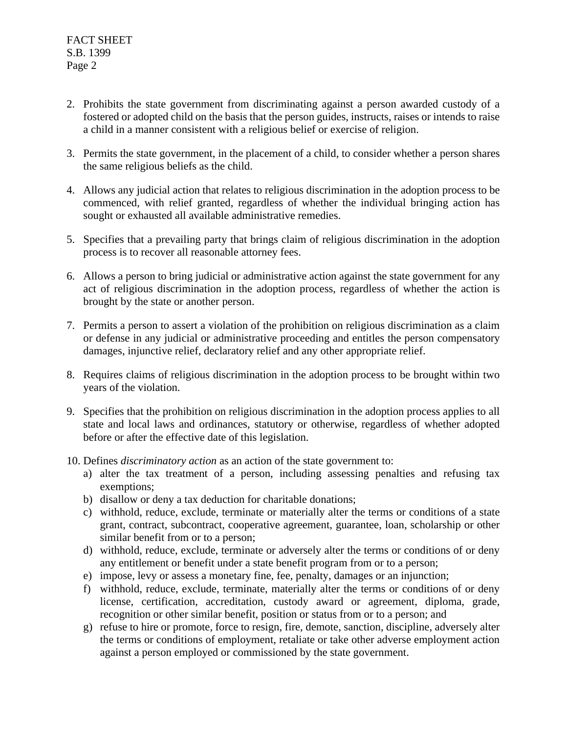- 2. Prohibits the state government from discriminating against a person awarded custody of a fostered or adopted child on the basis that the person guides, instructs, raises or intends to raise a child in a manner consistent with a religious belief or exercise of religion.
- 3. Permits the state government, in the placement of a child, to consider whether a person shares the same religious beliefs as the child.
- 4. Allows any judicial action that relates to religious discrimination in the adoption process to be commenced, with relief granted, regardless of whether the individual bringing action has sought or exhausted all available administrative remedies.
- 5. Specifies that a prevailing party that brings claim of religious discrimination in the adoption process is to recover all reasonable attorney fees.
- 6. Allows a person to bring judicial or administrative action against the state government for any act of religious discrimination in the adoption process, regardless of whether the action is brought by the state or another person.
- 7. Permits a person to assert a violation of the prohibition on religious discrimination as a claim or defense in any judicial or administrative proceeding and entitles the person compensatory damages, injunctive relief, declaratory relief and any other appropriate relief.
- 8. Requires claims of religious discrimination in the adoption process to be brought within two years of the violation.
- 9. Specifies that the prohibition on religious discrimination in the adoption process applies to all state and local laws and ordinances, statutory or otherwise, regardless of whether adopted before or after the effective date of this legislation.
- 10. Defines *discriminatory action* as an action of the state government to:
	- a) alter the tax treatment of a person, including assessing penalties and refusing tax exemptions;
	- b) disallow or deny a tax deduction for charitable donations;
	- c) withhold, reduce, exclude, terminate or materially alter the terms or conditions of a state grant, contract, subcontract, cooperative agreement, guarantee, loan, scholarship or other similar benefit from or to a person;
	- d) withhold, reduce, exclude, terminate or adversely alter the terms or conditions of or deny any entitlement or benefit under a state benefit program from or to a person;
	- e) impose, levy or assess a monetary fine, fee, penalty, damages or an injunction;
	- f) withhold, reduce, exclude, terminate, materially alter the terms or conditions of or deny license, certification, accreditation, custody award or agreement, diploma, grade, recognition or other similar benefit, position or status from or to a person; and
	- g) refuse to hire or promote, force to resign, fire, demote, sanction, discipline, adversely alter the terms or conditions of employment, retaliate or take other adverse employment action against a person employed or commissioned by the state government.